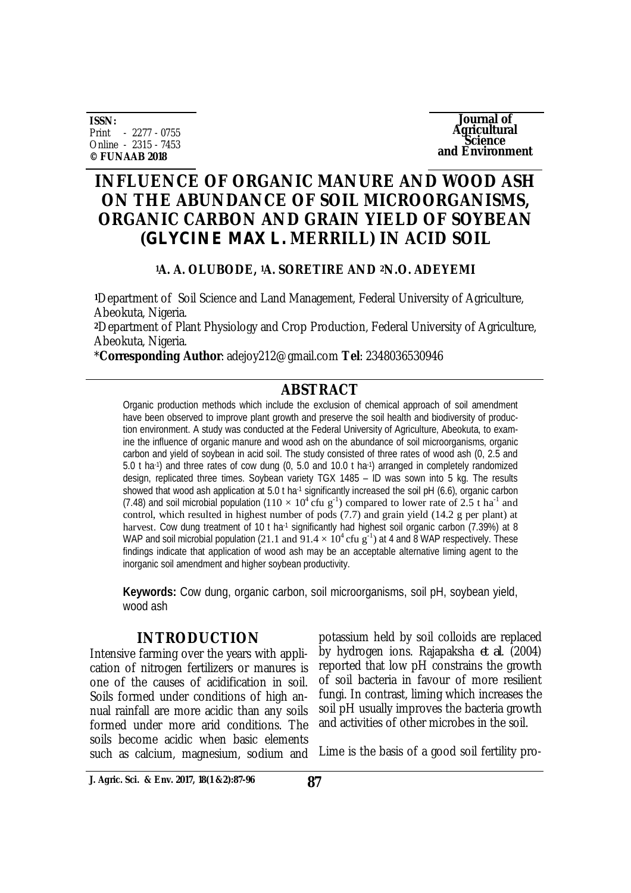**ISSN:** Print - 2277 - 0755 Online - 2315 - 7453 **© FUNAAB 2018**

**Journal of Agricultural Science and Environment**

# **INFLUENCE OF ORGANIC MANURE AND WOOD ASH ON THE ABUNDANCE OF SOIL MICROORGANISMS, ORGANIC CARBON AND GRAIN YIELD OF SOYBEAN (***GLYCINE MAX L.* **MERRILL) IN ACID SOIL**

## **<sup>1</sup>A. A. OLUBODE, 1A. SORETIRE AND 2N.O. ADEYEMI**

**<sup>1</sup>**Department of Soil Science and Land Management, Federal University of Agriculture, Abeokuta, Nigeria.

**<sup>2</sup>**Department of Plant Physiology and Crop Production, Federal University of Agriculture, Abeokuta, Nigeria.

\***Corresponding Author**: [adejoy212@gmail.com](mailto:adejoy212@gmail.com) **Tel**: 2348036530946

## **ABSTRACT**

Organic production methods which include the exclusion of chemical approach of soil amendment have been observed to improve plant growth and preserve the soil health and biodiversity of production environment. A study was conducted at the Federal University of Agriculture, Abeokuta, to examine the influence of organic manure and wood ash on the abundance of soil microorganisms, organic carbon and yield of soybean in acid soil. The study consisted of three rates of wood ash (0, 2.5 and 5.0 t ha-1 ) and three rates of cow dung (0, 5.0 and 10.0 t ha-1 ) arranged in completely randomized design, replicated three times. Soybean variety TGX 1485 – ID was sown into 5 kg. The results showed that wood ash application at  $5.0$  t ha<sup>-1</sup> significantly increased the soil pH (6.6), organic carbon (7.48) and soil microbial population  $(110 \times 10^4 \text{ c}$ fu g<sup>-1</sup>) compared to lower rate of 2.5 t ha<sup>-1</sup> and control, which resulted in highest number of pods (7.7) and grain yield (14.2 g per plant) at harvest. Cow dung treatment of 10 t ha<sup>-1</sup> significantly had highest soil organic carbon (7.39%) at 8 WAP and soil microbial population (21.1 and  $91.4 \times 10^4$  cfu g<sup>-1</sup>) at 4 and 8 WAP respectively. These findings indicate that application of wood ash may be an acceptable alternative liming agent to the inorganic soil amendment and higher soybean productivity.

**Keywords:** Cow dung, organic carbon, soil microorganisms, soil pH, soybean yield, wood ash

## **INTRODUCTION**

Intensive farming over the years with application of nitrogen fertilizers or manures is one of the causes of acidification in soil. Soils formed under conditions of high annual rainfall are more acidic than any soils formed under more arid conditions. The soils become acidic when basic elements such as calcium, magnesium, sodium and

potassium held by soil colloids are replaced by hydrogen ions. Rajapaksha *et al*. (2004) reported that low pH constrains the growth of soil bacteria in favour of more resilient fungi. In contrast, liming which increases the soil pH usually improves the bacteria growth and activities of other microbes in the soil.

Lime is the basis of a good soil fertility pro-

**J. Agric. Sci. & Env. 2017, 18(1 &2):87-96 87**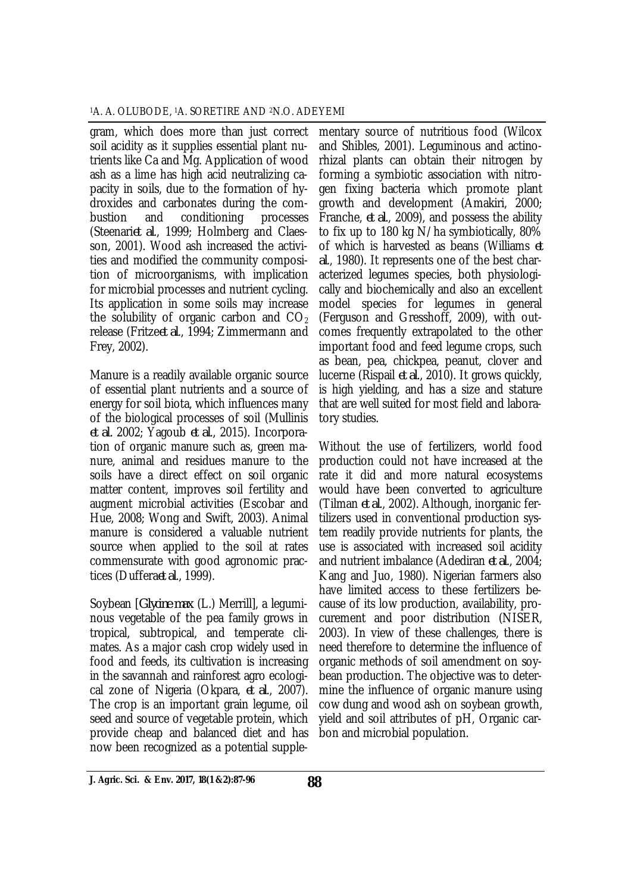gram, which does more than just correct soil acidity as it supplies essential plant nutrients like Ca and Mg. Application of wood ash as a lime has high acid neutralizing capacity in soils, due to the formation of hydroxides and carbonates during the combustion and conditioning processes (Steenari*et al*., 1999; Holmberg and Claesson, 2001). Wood ash increased the activities and modified the community composition of microorganisms, with implication for microbial processes and nutrient cycling. Its application in some soils may increase the solubility of organic carbon and  $CO<sub>2</sub>$ release (Fritze*et al*., 1994; Zimmermann and Frey, 2002).

Manure is a readily available organic source of essential plant nutrients and a source of energy for soil biota, which influences many of the biological processes of soil (Mullinis *et al.* 2002; Yagoub *et al*., 2015). Incorporation of organic manure such as, green manure, animal and residues manure to the soils have a direct effect on soil organic matter content, improves soil fertility and augment microbial activities (Escobar and Hue, 2008; Wong and Swift, 2003). Animal manure is considered a valuable nutrient source when applied to the soil at rates commensurate with good agronomic practices (Duffera*et al*., 1999).

Soybean [*Glycine max* (L.) Merrill], a leguminous vegetable of the pea family grows in tropical, subtropical, and temperate climates. As a major cash crop widely used in food and feeds, its cultivation is increasing in the savannah and rainforest agro ecological zone of Nigeria (Okpara, *et al*., 2007). The crop is an important grain legume, oil seed and source of vegetable protein, which provide cheap and balanced diet and has now been recognized as a potential supple-

mentary source of nutritious food (Wilcox and Shibles, 2001). Leguminous and actinorhizal plants can obtain their nitrogen by forming a symbiotic association with nitrogen fixing bacteria which promote plant growth and development (Amakiri, 2000; Franche, *et al*., 2009), and possess the ability to fix up to 180 kg N/ha symbiotically, 80% of which is harvested as beans (Williams *et al*., 1980). It represents one of the best characterized legumes species, both physiologically and biochemically and also an excellent model species for legumes in general (Ferguson and Gresshoff, 2009), with outcomes frequently extrapolated to the other important food and feed legume crops, such as bean, pea, chickpea, peanut, clover and lucerne (Rispail *et al*., 2010). It grows quickly, is high yielding, and has a size and stature that are well suited for most field and laboratory studies.

Without the use of fertilizers, world food production could not have increased at the rate it did and more natural ecosystems would have been converted to agriculture (Tilman *et al*., 2002). Although, inorganic fertilizers used in conventional production system readily provide nutrients for plants, the use is associated with increased soil acidity and nutrient imbalance (Adediran *et al*., 2004; Kang and Juo, 1980). Nigerian farmers also have limited access to these fertilizers because of its low production, availability, procurement and poor distribution (NISER, 2003). In view of these challenges, there is need therefore to determine the influence of organic methods of soil amendment on soybean production. The objective was to determine the influence of organic manure using cow dung and wood ash on soybean growth, yield and soil attributes of pH, Organic carbon and microbial population.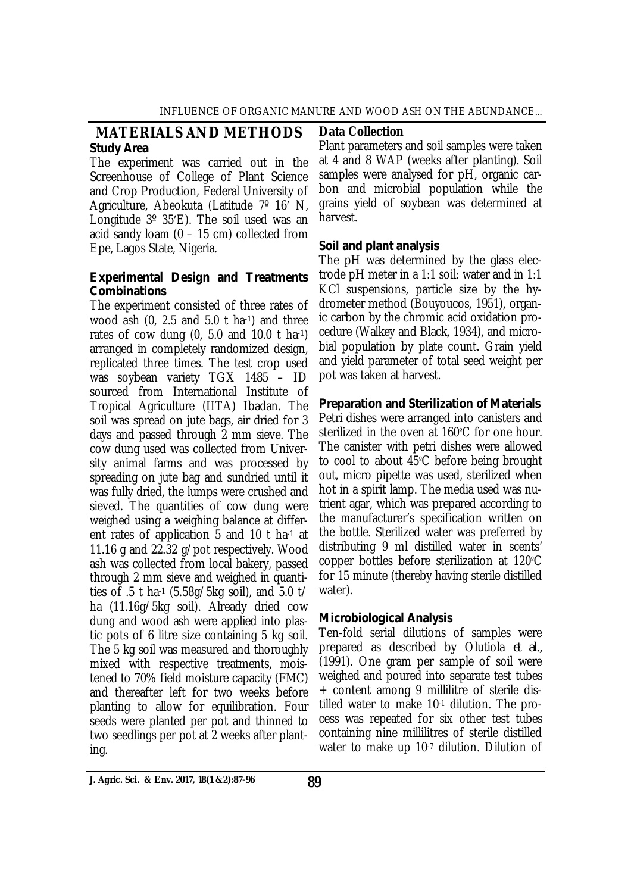#### **MATERIALS AND METHODS** *Study Area*

The experiment was carried out in the Screenhouse of College of Plant Science and Crop Production, Federal University of Agriculture, Abeokuta (Latitude 7º 16ʹ N, Longitude 3º 35ʹE). The soil used was an acid sandy loam (0 – 15 cm) collected from Epe, Lagos State, Nigeria.

#### *Experimental Design and Treatments Combinations*

The experiment consisted of three rates of wood ash (0, 2.5 and 5.0 t ha-1) and three rates of cow dung  $(0, 5.0$  and  $10.0$  t ha-1) arranged in completely randomized design, replicated three times. The test crop used was soybean variety TGX 1485 – ID sourced from International Institute of Tropical Agriculture (IITA) Ibadan. The soil was spread on jute bags, air dried for 3 days and passed through 2 mm sieve. The cow dung used was collected from University animal farms and was processed by spreading on jute bag and sundried until it was fully dried, the lumps were crushed and sieved. The quantities of cow dung were weighed using a weighing balance at different rates of application 5 and 10 t ha-1 at 11.16 g and 22.32 g/pot respectively. Wood ash was collected from local bakery, passed through 2 mm sieve and weighed in quantities of .5 t ha-1 (5.58g/5kg soil), and 5.0 t/ ha (11.16g/5kg soil). Already dried cow dung and wood ash were applied into plastic pots of 6 litre size containing 5 kg soil. The 5 kg soil was measured and thoroughly mixed with respective treatments, moistened to 70% field moisture capacity (FMC) and thereafter left for two weeks before planting to allow for equilibration. Four seeds were planted per pot and thinned to two seedlings per pot at 2 weeks after planting.

#### **Data Collection**

Plant parameters and soil samples were taken at 4 and 8 WAP (weeks after planting). Soil samples were analysed for pH, organic carbon and microbial population while the grains yield of soybean was determined at harvest.

## *Soil and plant analysis*

The pH was determined by the glass electrode pH meter in a 1:1 soil: water and in 1:1 KCl suspensions, particle size by the hydrometer method (Bouyoucos, 1951), organic carbon by the chromic acid oxidation procedure (Walkey and Black, 1934), and microbial population by plate count. Grain yield and yield parameter of total seed weight per pot was taken at harvest.

## *Preparation and Sterilization of Materials*

Petri dishes were arranged into canisters and sterilized in the oven at 160ºC for one hour. The canister with petri dishes were allowed to cool to about 45ºC before being brought out, micro pipette was used, sterilized when hot in a spirit lamp. The media used was nutrient agar, which was prepared according to the manufacturer's specification written on the bottle. Sterilized water was preferred by distributing 9 ml distilled water in scents' copper bottles before sterilization at 120ºC for 15 minute (thereby having sterile distilled water).

#### *Microbiological Analysis*

Ten-fold serial dilutions of samples were prepared as described by Olutiola *et al.,*  (1991). One gram per sample of soil were weighed and poured into separate test tubes + content among 9 millilitre of sterile distilled water to make 10-1 dilution. The process was repeated for six other test tubes containing nine millilitres of sterile distilled water to make up 10-7 dilution. Dilution of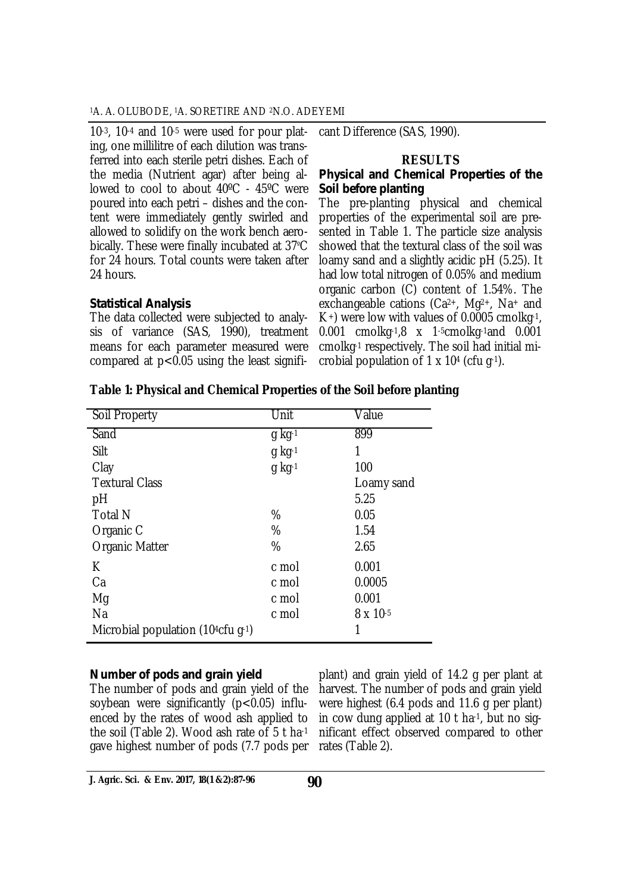10-3, 10-4 and 10-5 were used for pour plating, one millilitre of each dilution was transferred into each sterile petri dishes. Each of the media (Nutrient agar) after being allowed to cool to about 40ºC - 45ºC were poured into each petri – dishes and the content were immediately gently swirled and allowed to solidify on the work bench aerobically. These were finally incubated at 37ºC for 24 hours. Total counts were taken after 24 hours.

#### *Statistical Analysis*

The data collected were subjected to analysis of variance (SAS, 1990), treatment means for each parameter measured were compared at p<0.05 using the least signifi-

cant Difference (SAS, 1990).

#### **RESULTS**

#### *Physical and Chemical Properties of the Soil before planting*

The pre-planting physical and chemical properties of the experimental soil are presented in Table 1. The particle size analysis showed that the textural class of the soil was loamy sand and a slightly acidic pH (5.25). It had low total nitrogen of 0.05% and medium organic carbon (C) content of 1.54%. The exchangeable cations (Ca2+, Mg2+, Na<sup>+</sup> and  $K<sup>+</sup>$ ) were low with values of 0.0005 cmolkg-1, 0.001 cmolkg-1,8 x 1-5cmolkg-1and 0.001 cmolkg-1 respectively. The soil had initial microbial population of 1 x 10<sup>4</sup> (cfu g-1).

| Soil Property                        | Unit     | Value      |
|--------------------------------------|----------|------------|
| Sand                                 | $g$ kg-1 | 899        |
| Silt                                 | $q$ kg-1 | 1          |
| Clay                                 | $g$ kg-1 | 100        |
| <b>Textural Class</b>                |          | Loamy sand |
| pH                                   |          | 5.25       |
| <b>Total N</b>                       | %        | 0.05       |
| Organic C                            | %        | 1.54       |
| <b>Organic Matter</b>                | %        | 2.65       |
| К                                    | c mol    | 0.001      |
| Ca                                   | c mol    | 0.0005     |
| Mg                                   | c mol    | 0.001      |
| Na                                   | c mol    | 8 x 10-5   |
| Microbial population (104 $cfu$ g-1) |          | 1          |

#### **Table 1: Physical and Chemical Properties of the Soil before planting**

#### *Number of pods and grain yield*

The number of pods and grain yield of the soybean were significantly  $(p<0.05)$  influenced by the rates of wood ash applied to the soil (Table 2). Wood ash rate of 5 t ha-1 gave highest number of pods (7.7 pods per

plant) and grain yield of 14.2 g per plant at harvest. The number of pods and grain yield were highest (6.4 pods and 11.6 g per plant) in cow dung applied at 10 t ha-1, but no significant effect observed compared to other rates (Table 2).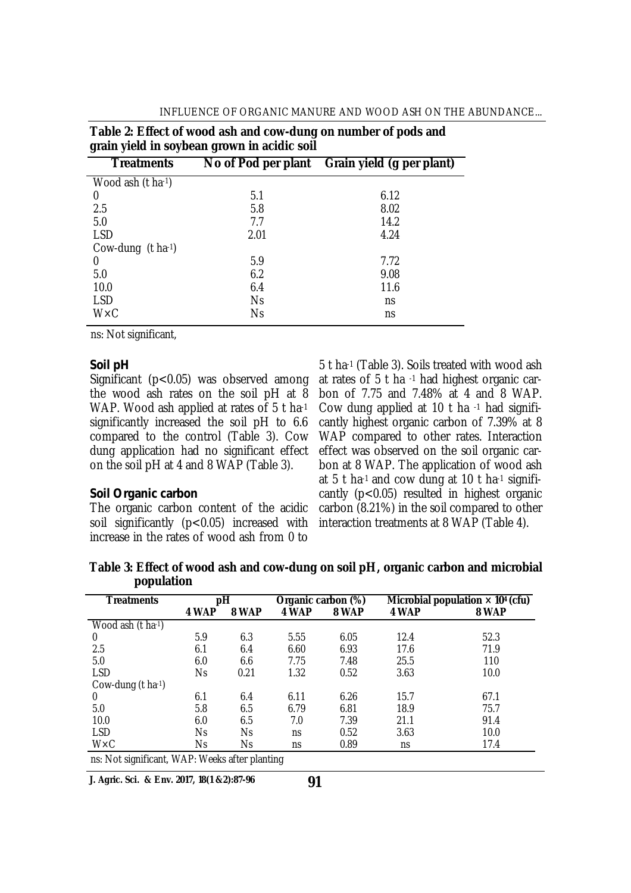| grain yield in soybean grown in acidic soil |           |                                               |  |  |
|---------------------------------------------|-----------|-----------------------------------------------|--|--|
| <b>Treatments</b>                           |           | No of Pod per plant Grain yield (g per plant) |  |  |
| Wood ash $(t \text{ ha-1})$                 |           |                                               |  |  |
| 0                                           | 5.1       | 6.12                                          |  |  |
| 2.5                                         | 5.8       | 8.02                                          |  |  |
| 5.0                                         | 7.7       | 14.2                                          |  |  |
| <b>LSD</b>                                  | 2.01      | 4.24                                          |  |  |
| Cow-dung (t ha-1)                           |           |                                               |  |  |
| 0                                           | 5.9       | 7.72                                          |  |  |
| 5.0                                         | 6.2       | 9.08                                          |  |  |
| 10.0                                        | 6.4       | 11.6                                          |  |  |
| <b>LSD</b>                                  | <b>Ns</b> | ns                                            |  |  |
| $W \times C$                                | <b>Ns</b> | ns                                            |  |  |

**Table 2: Effect of wood ash and cow-dung on number of pods and** 

ns: Not significant,

#### *Soil pH*

Significant (p<0.05) was observed among the wood ash rates on the soil pH at 8 WAP. Wood ash applied at rates of 5 t ha-1 significantly increased the soil pH to 6.6 compared to the control (Table 3). Cow dung application had no significant effect on the soil pH at 4 and 8 WAP (Table 3).

#### *Soil Organic carbon*

The organic carbon content of the acidic soil significantly (p<0.05) increased with increase in the rates of wood ash from 0 to

5 t ha-1 (Table 3). Soils treated with wood ash at rates of 5 t ha -1 had highest organic carbon of 7.75 and 7.48% at 4 and 8 WAP. Cow dung applied at 10 t ha -1 had significantly highest organic carbon of 7.39% at 8 WAP compared to other rates. Interaction effect was observed on the soil organic carbon at 8 WAP. The application of wood ash at 5 t ha-1 and cow dung at 10 t ha-1 significantly  $(p<0.05)$  resulted in highest organic carbon (8.21%) in the soil compared to other interaction treatments at 8 WAP (Table 4).

**Table 3: Effect of wood ash and cow-dung on soil pH, organic carbon and microbial population**

| <b>Treatments</b>                              |       | рH    | Organic carbon (%) |       |       | Microbial population $\times$ 10 <sup>4</sup> (cfu) |
|------------------------------------------------|-------|-------|--------------------|-------|-------|-----------------------------------------------------|
|                                                | 4 WAP | 8 WAP | 4 WAP              | 8 WAP | 4 WAP | 8 WAP                                               |
| Wood ash $(t \text{ ha-1})$                    |       |       |                    |       |       |                                                     |
| 0                                              | 5.9   | 6.3   | 5.55               | 6.05  | 12.4  | 52.3                                                |
| 2.5                                            | 6.1   | 6.4   | 6.60               | 6.93  | 17.6  | 71.9                                                |
| 5.0                                            | 6.0   | 6.6   | 7.75               | 7.48  | 25.5  | 110                                                 |
| <b>LSD</b>                                     | Ns    | 0.21  | 1.32               | 0.52  | 3.63  | 10.0                                                |
| Cow-dung $(t \text{ ha-1})$                    |       |       |                    |       |       |                                                     |
| 0                                              | 6.1   | 6.4   | 6.11               | 6.26  | 15.7  | 67.1                                                |
| 5.0                                            | 5.8   | 6.5   | 6.79               | 6.81  | 18.9  | 75.7                                                |
| 10.0                                           | 6.0   | 6.5   | 7.0                | 7.39  | 21.1  | 91.4                                                |
| <b>LSD</b>                                     | Ns    | Ns    | ns                 | 0.52  | 3.63  | 10.0                                                |
| $W \times C$                                   | Ns    | Ns    | ns                 | 0.89  | ns    | 17.4                                                |
| ns: Not significant, WAP: Weeks after planting |       |       |                    |       |       |                                                     |

**J. Agric. Sci. & Env. 2017, 18(1 &2):87-96**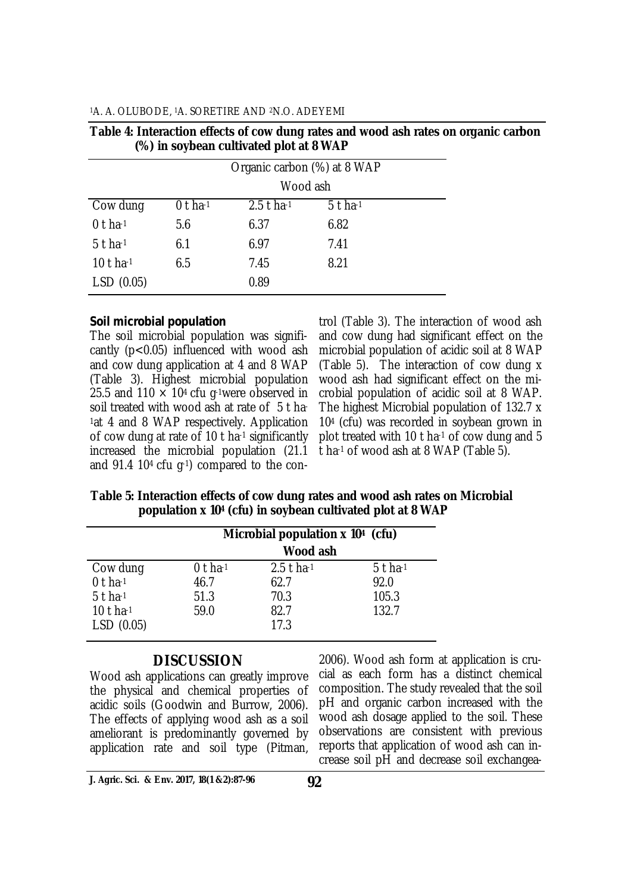|              | Organic carbon (%) at 8 WAP |              |           |  |
|--------------|-----------------------------|--------------|-----------|--|
|              |                             | Wood ash     |           |  |
| Cow dung     | $0$ t ha-1                  | $2.5$ t ha-1 | $5t$ ha-1 |  |
| $0$ t ha-1   | 5.6                         | 6.37         | 6.82      |  |
| $5$ t ha-1   | 6.1                         | 6.97         | 7.41      |  |
| 10 t ha $-1$ | 6.5                         | 7.45         | 8.21      |  |
| LSD(0.05)    |                             | 0.89         |           |  |
|              |                             |              |           |  |

| Table 4: Interaction effects of cow dung rates and wood ash rates on organic carbon |  |
|-------------------------------------------------------------------------------------|--|
| (%) in soybean cultivated plot at 8 WAP                                             |  |

#### *Soil microbial population*

The soil microbial population was significantly (p<0.05) influenced with wood ash and cow dung application at 4 and 8 WAP (Table 3). Highest microbial population 25.5 and 110  $\times$  10<sup>4</sup> cfu g<sup>-1</sup>were observed in soil treated with wood ash at rate of 5 t ha-<sup>1</sup>at 4 and 8 WAP respectively. Application of cow dung at rate of 10 t ha-1 significantly increased the microbial population (21.1 and 91.4 104 cfu g-1) compared to the con-

trol (Table 3). The interaction of wood ash and cow dung had significant effect on the microbial population of acidic soil at 8 WAP (Table 5). The interaction of cow dung x wood ash had significant effect on the microbial population of acidic soil at 8 WAP. The highest Microbial population of 132.7 x 10<sup>4</sup> (cfu) was recorded in soybean grown in plot treated with 10 t ha-1 of cow dung and 5 t ha-1 of wood ash at 8 WAP (Table 5).

**Table 5: Interaction effects of cow dung rates and wood ash rates on Microbial population x 10<sup>4</sup> (cfu) in soybean cultivated plot at 8 WAP**

|            |            | Microbial population x 10 <sup>4</sup> (cfu)<br>Wood ash |            |  |
|------------|------------|----------------------------------------------------------|------------|--|
| Cow dung   | $0$ t ha-1 | $2.5$ t ha-1                                             | $5$ t ha-1 |  |
| $0$ t ha-1 | 46.7       | 62.7                                                     | 92.0       |  |
| $5t$ ha-1  | 51.3       | 70.3                                                     | 105.3      |  |
| 10 t ha-1  | 59.0       | 82.7                                                     | 132.7      |  |
| LSD(0.05)  |            | 17.3                                                     |            |  |

## **DISCUSSION**

Wood ash applications can greatly improve the physical and chemical properties of acidic soils (Goodwin and Burrow, 2006). The effects of applying wood ash as a soil ameliorant is predominantly governed by application rate and soil type (Pitman,

2006). Wood ash form at application is crucial as each form has a distinct chemical composition. The study revealed that the soil pH and organic carbon increased with the wood ash dosage applied to the soil. These observations are consistent with previous reports that application of wood ash can increase soil pH and decrease soil exchangea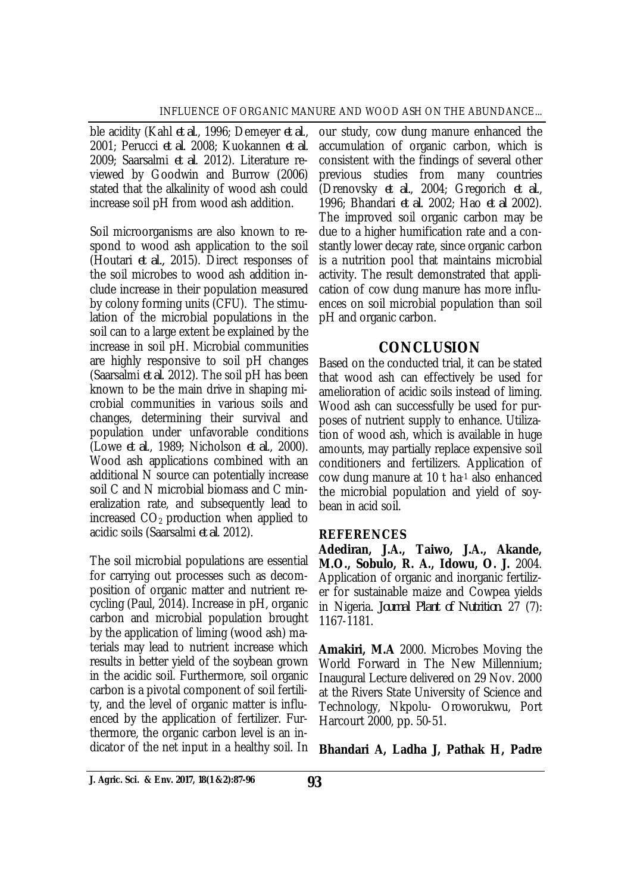ble acidity (Kahl *et al*., 1996; Demeyer *et al*., 2001; Perucci *et al*. 2008; Kuokannen *et al*. 2009; Saarsalmi *et al*. 2012). Literature reviewed by Goodwin and Burrow (2006) stated that the alkalinity of wood ash could increase soil pH from wood ash addition.

Soil microorganisms are also known to respond to wood ash application to the soil (Houtari *et al.,* 2015). Direct responses of the soil microbes to wood ash addition include increase in their population measured by colony forming units (CFU). The stimulation of the microbial populations in the soil can to a large extent be explained by the increase in soil pH. Microbial communities are highly responsive to soil pH changes (Saarsalmi *et al*. 2012). The soil pH has been known to be the main drive in shaping microbial communities in various soils and changes, determining their survival and population under unfavorable conditions (Lowe *et al*., 1989; Nicholson *et al*., 2000). Wood ash applications combined with an additional N source can potentially increase soil C and N microbial biomass and C mineralization rate, and subsequently lead to increased  $CO<sub>2</sub>$  production when applied to acidic soils (Saarsalmi *et al*. 2012).

The soil microbial populations are essential for carrying out processes such as decomposition of organic matter and nutrient recycling (Paul, 2014). Increase in pH, organic carbon and microbial population brought by the application of liming (wood ash) materials may lead to nutrient increase which results in better yield of the soybean grown in the acidic soil. Furthermore, soil organic carbon is a pivotal component of soil fertility, and the level of organic matter is influenced by the application of fertilizer. Furthermore, the organic carbon level is an indicator of the net input in a healthy soil. In

our study, cow dung manure enhanced the accumulation of organic carbon, which is consistent with the findings of several other previous studies from many countries (Drenovsky *et al.*, 2004; Gregorich *et al*., 1996; Bhandari *et al*. 2002; Hao *et al* 2002). The improved soil organic carbon may be due to a higher humification rate and a constantly lower decay rate, since organic carbon is a nutrition pool that maintains microbial activity. The result demonstrated that application of cow dung manure has more influences on soil microbial population than soil pH and organic carbon.

## **CONCLUSION**

Based on the conducted trial, it can be stated that wood ash can effectively be used for amelioration of acidic soils instead of liming. Wood ash can successfully be used for purposes of nutrient supply to enhance. Utilization of wood ash, which is available in huge amounts, may partially replace expensive soil conditioners and fertilizers. Application of cow dung manure at 10 t ha-1 also enhanced the microbial population and yield of soybean in acid soil.

#### **REFERENCES**

**Adediran, J.A., Taiwo, J.A., Akande, M.O., Sobulo, R. A., Idowu, O. J.** 2004. Application of organic and inorganic fertilizer for sustainable maize and Cowpea yields in Nigeria*. Journal Plant of Nutrition.* 27 (7): 1167-1181.

**Amakiri, M.A** 2000. Microbes Moving the World Forward in The New Millennium; Inaugural Lecture delivered on 29 Nov. 2000 at the Rivers State University of Science and Technology, Nkpolu- Oroworukwu, Port Harcourt 2000, pp. 50-51.

**Bhandari A, Ladha J, Pathak H, Padre**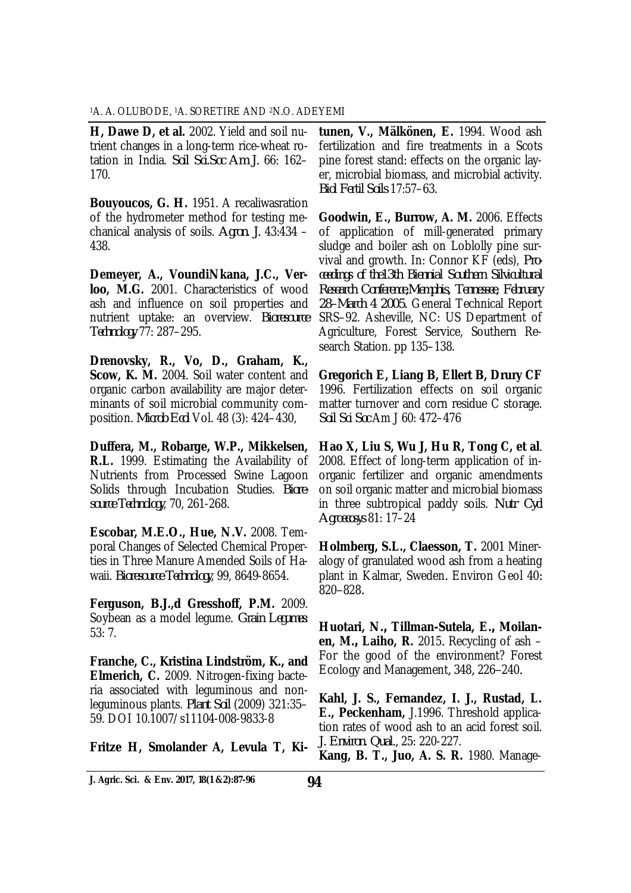**H, Dawe D, et al.** 2002. Yield and soil nutrient changes in a long-term rice-wheat rotation in India. *Soil Sci.Soc Am J.* 66: 162– 170.

**Bouyoucos, G. H.** 1951. A recaliwasration of the hydrometer method for testing mechanical analysis of soils. *Agron. J.* 43:434 – 438.

**Demeyer, A., VoundiNkana, J.C., Verloo, M.G.** 2001. Characteristics of wood ash and influence on soil properties and nutrient uptake: an overview. *Bioresource Technology* 77: 287–295.

**Drenovsky, R., Vo, D., Graham, K., Scow, K. M.** 2004. Soil water content and organic carbon availability are major determinants of soil microbial community composition. *Microb Ecol* Vol. 48 (3): 424–430,

**Duffera, M., Robarge, W.P., Mikkelsen, R.L.** 1999. Estimating the Availability of Nutrients from Processed Swine Lagoon Solids through Incubation Studies. *Bioresource Technology*, 70, 261-268.

**Escobar, M.E.O., Hue, N.V.** 2008. Temporal Changes of Selected Chemical Properties in Three Manure Amended Soils of Hawaii. *Bioresource Technology*, 99, 8649-8654.

**Ferguson, B.J.,d Gresshoff, P.M.** 2009. Soybean as a model legume. *Grain Legumes*: 53: 7.

**Franche, C., Kristina Lindström, K., and Elmerich, C.** 2009. Nitrogen-fixing bacteria associated with leguminous and nonleguminous plants. *Plant Soil* (2009) 321:35– 59. DOI 10.1007/s11104-008-9833-8

**Fritze H, Smolander A, Levula T, Ki-**

**tunen, V., Mälkönen, E.** 1994. Wood ash fertilization and fire treatments in a Scots pine forest stand: effects on the organic layer, microbial biomass, and microbial activity. *Biol Fertil Soils* 17:57–63.

**Goodwin, E., Burrow, A. M.** 2006. Effects of application of mill-generated primary sludge and boiler ash on Loblolly pine survival and growth. In: Connor KF (eds), *Proceedings of the13th Biennial Southern Silvicultural Research Conference,Memphis, Tennessee, February 28–March 4 2005.* General Technical Report SRS–92. Asheville, NC: US Department of Agriculture, Forest Service, Southern Research Station. pp 135–138.

**Gregorich E, Liang B, Ellert B, Drury CF**  1996. Fertilization effects on soil organic matter turnover and corn residue C storage. *Soil Sci Soc* Am J 60: 472–476

**Hao X, Liu S, Wu J, Hu R, Tong C, et al**. 2008. Effect of long-term application of inorganic fertilizer and organic amendments on soil organic matter and microbial biomass in three subtropical paddy soils. *Nutr Cycl Agroecosys* 81: 17–24

**Holmberg, S.L., Claesson, T.** 2001 Mineralogy of granulated wood ash from a heating plant in Kalmar, Sweden*.* Environ Geol 40*:*  820*–*828*.*

**Huotari, N.***,* **Tillman-Sutela, E.***,* **Moilanen, M.***,* **Laiho, R.** 2015*.* Recycling of ash – For the good of the environment? Forest Ecology and Management*,* 348*,* 226*–*240*.*

**Kahl, J. S., Fernandez, I. J., Rustad, L. E., Peckenham,** J.1996. Threshold application rates of wood ash to an acid forest soil. *J. Environ. Qual.,* 25: 220-227.

**Kang, B. T., Juo, A. S. R.** 1980. Manage-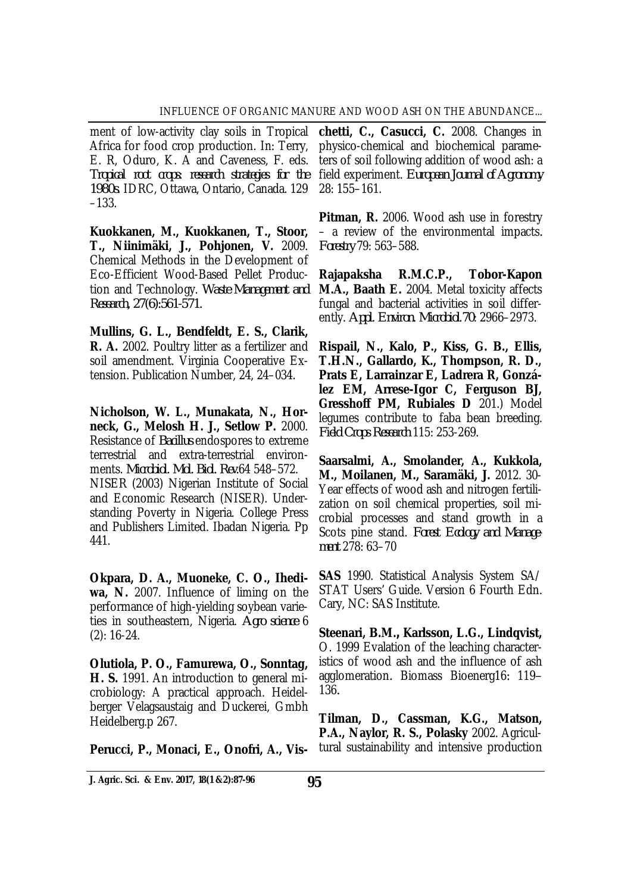ment of low-activity clay soils in Tropical Africa for food crop production. In: Terry, E. R, Oduro, K. A and Caveness, F. eds. *Tropical root crops: research strategies for the 1980s*. IDRC, Ottawa, Ontario, Canada. 129 –133.

**Kuokkanen, M., Kuokkanen, T., Stoor, T., Niinimäki, J., Pohjonen, V.** 2009. Chemical Methods in the Development of Eco-Efficient Wood-Based Pellet Production and Technology. *Waste Management and Research, 27(6):561-571.*

**Mullins, G. L., Bendfeldt, E. S., Clarik, R. A.** 2002. Poultry litter as a fertilizer and soil amendment. Virginia Cooperative Extension. Publication Number, 24, 24–034.

**Nicholson, W. L., Munakata, N., Horneck, G., Melosh H. J., Setlow P.** 2000. Resistance of *Bacillus* endospores to extreme terrestrial and extra-terrestrial environments. *Microbiol. Mol. Biol. Rev.*64 548–572. NISER (2003) Nigerian Institute of Social and Economic Research (NISER). Understanding Poverty in Nigeria. College Press and Publishers Limited. Ibadan Nigeria. Pp 441.

**Okpara, D. A., Muoneke, C. O., Ihediwa, N.** 2007. Influence of liming on the performance of high-yielding soybean varieties in southeastern, Nigeria. *Agro science* 6 (2): 16-24.

**Olutiola, P. O., Famurewa, O., Sonntag, H. S.** 1991. An introduction to general microbiology: A practical approach. Heidelberger Velagsaustaig and Duckerei, Gmbh Heidelberg.p 267.

**Perucci, P., Monaci, E., Onofri, A., Vis-**

**chetti, C., Casucci, C.** 2008. Changes in physico-chemical and biochemical parameters of soil following addition of wood ash: a field experiment. *European Journal of Agronomy*  28: 155–161.

**Pitman, R.** 2006. Wood ash use in forestry – a review of the environmental impacts*. Forestry* 79: 563–588.

**Rajapaksha R.M.C.P., Tobor-Kapon M.A., Baath E.** 2004. Metal toxicity affects fungal and bacterial activities in soil differently. *Appl. Environ. Microbiol*.*70*: 2966–2973.

**Rispail, N., Kalo, P., Kiss, G. B., Ellis, T.H.N., Gallardo, K., Thompson, R. D., Prats E, Larrainzar E, Ladrera R, González EM, Arrese-Igor C, Ferguson BJ, Gresshoff PM, Rubiales D** 201.) Model legumes contribute to faba bean breeding. *Field Crops Research* 115: 253-269.

**Saarsalmi, A., Smolander, A., Kukkola, M., Moilanen, M., Saramäki, J.** 2012. 30- Year effects of wood ash and nitrogen fertilization on soil chemical properties, soil microbial processes and stand growth in a Scots pine stand. *Forest Ecology and Management* 278: 63–70

**SAS** 1990. Statistical Analysis System SA/ STAT Users' Guide. Version 6 Fourth Edn. Cary, NC: SAS Institute.

**Steenari, B.M.***,* **Karlsson, L.G., Lindqvist,**  O. 1999 Evalation of the leaching characteristics of wood ash and the influence of ash agglomeration*.* Biomass Bioenerg16*:* 119*–* 136*.*

**Tilman, D., Cassman, K.G., Matson, P.A., Naylor, R. S., Polasky** 2002. Agricultural sustainability and intensive production